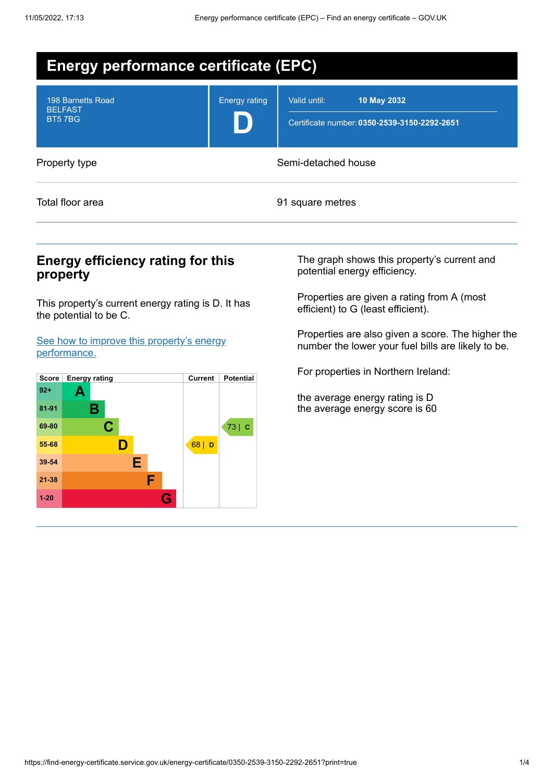| <b>Energy performance certificate (EPC)</b>          |                      |                                                                             |  |  |
|------------------------------------------------------|----------------------|-----------------------------------------------------------------------------|--|--|
| 198 Barnetts Road<br><b>BELFAST</b><br><b>BT57BG</b> | <b>Energy rating</b> | Valid until:<br>10 May 2032<br>Certificate number: 0350-2539-3150-2292-2651 |  |  |
| Property type                                        |                      | Semi-detached house                                                         |  |  |
| Total floor area                                     |                      | 91 square metres                                                            |  |  |

## **Energy efficiency rating for this property**

This property's current energy rating is D. It has the potential to be C.

See how to improve this property's energy [performance.](#page-2-0)



The graph shows this property's current and potential energy efficiency.

Properties are given a rating from A (most efficient) to G (least efficient).

Properties are also given a score. The higher the number the lower your fuel bills are likely to be.

For properties in Northern Ireland:

the average energy rating is D the average energy score is 60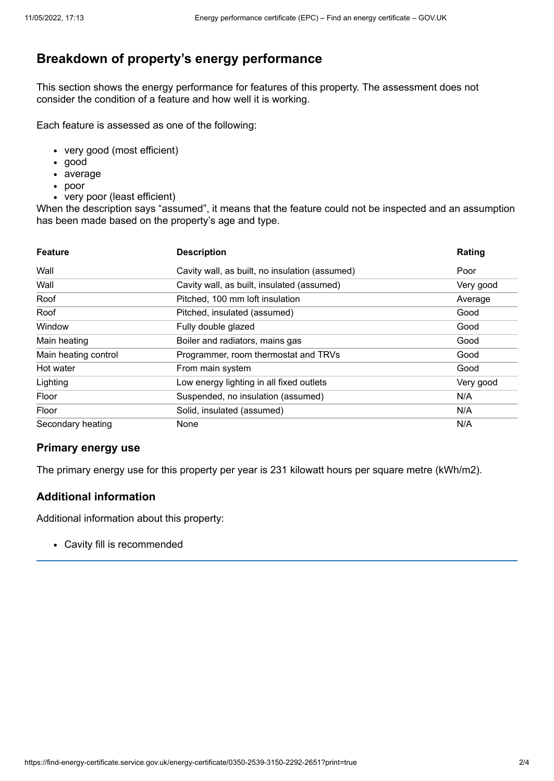# **Breakdown of property's energy performance**

This section shows the energy performance for features of this property. The assessment does not consider the condition of a feature and how well it is working.

Each feature is assessed as one of the following:

- very good (most efficient)
- good
- average
- poor
- very poor (least efficient)

When the description says "assumed", it means that the feature could not be inspected and an assumption has been made based on the property's age and type.

| <b>Feature</b>       | <b>Description</b>                             | Rating    |
|----------------------|------------------------------------------------|-----------|
| Wall                 | Cavity wall, as built, no insulation (assumed) | Poor      |
| Wall                 | Cavity wall, as built, insulated (assumed)     | Very good |
| Roof                 | Pitched, 100 mm loft insulation                | Average   |
| Roof                 | Pitched, insulated (assumed)                   | Good      |
| Window               | Fully double glazed                            | Good      |
| Main heating         | Boiler and radiators, mains gas                | Good      |
| Main heating control | Programmer, room thermostat and TRVs           | Good      |
| Hot water            | From main system                               | Good      |
| Lighting             | Low energy lighting in all fixed outlets       | Very good |
| Floor                | Suspended, no insulation (assumed)             | N/A       |
| Floor                | Solid, insulated (assumed)                     | N/A       |
| Secondary heating    | None                                           | N/A       |

### **Primary energy use**

The primary energy use for this property per year is 231 kilowatt hours per square metre (kWh/m2).

### **Additional information**

Additional information about this property:

Cavity fill is recommended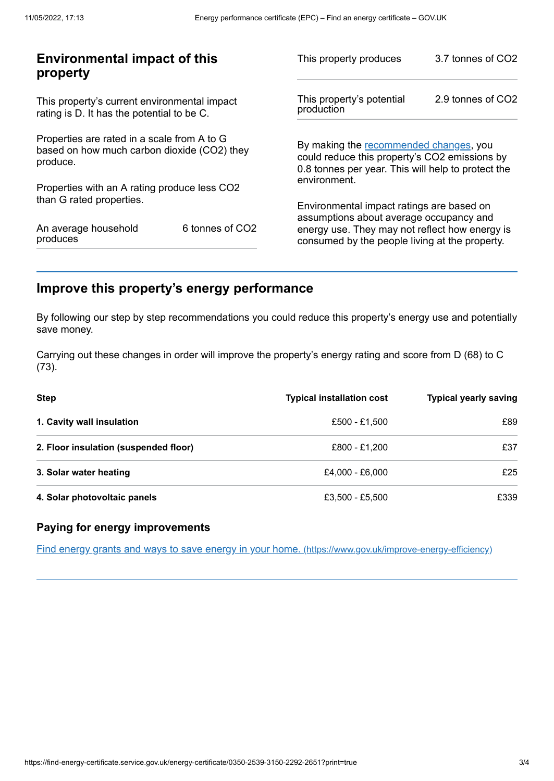| <b>Environmental impact of this</b><br>property                                                        |                             | This property produces                                                                                                                        | 3.7 tonnes of CO2 |
|--------------------------------------------------------------------------------------------------------|-----------------------------|-----------------------------------------------------------------------------------------------------------------------------------------------|-------------------|
| This property's current environmental impact<br>rating is D. It has the potential to be C.             |                             | This property's potential<br>production                                                                                                       | 2.9 tonnes of CO2 |
| Properties are rated in a scale from A to G<br>based on how much carbon dioxide (CO2) they<br>produce. |                             | By making the recommended changes, you<br>could reduce this property's CO2 emissions by<br>0.8 tonnes per year. This will help to protect the |                   |
| Properties with an A rating produce less CO2                                                           |                             | environment.                                                                                                                                  |                   |
| than G rated properties.                                                                               |                             | Environmental impact ratings are based on<br>assumptions about average occupancy and                                                          |                   |
| An average household<br>produces                                                                       | 6 tonnes of CO <sub>2</sub> | energy use. They may not reflect how energy is<br>consumed by the people living at the property.                                              |                   |
|                                                                                                        |                             |                                                                                                                                               |                   |

# <span id="page-2-0"></span>**Improve this property's energy performance**

By following our step by step recommendations you could reduce this property's energy use and potentially save money.

Carrying out these changes in order will improve the property's energy rating and score from D (68) to C (73).

| <b>Step</b>                           | <b>Typical installation cost</b> | <b>Typical yearly saving</b> |
|---------------------------------------|----------------------------------|------------------------------|
| 1. Cavity wall insulation             | £500 - £1.500                    | £89                          |
| 2. Floor insulation (suspended floor) | £800 - £1.200                    | £37                          |
| 3. Solar water heating                | £4.000 - £6.000                  | £25                          |
| 4. Solar photovoltaic panels          | £3,500 - £5,500                  | £339                         |

### **Paying for energy improvements**

Find energy grants and ways to save energy in your home. [\(https://www.gov.uk/improve-energy-efficiency\)](https://www.gov.uk/improve-energy-efficiency)